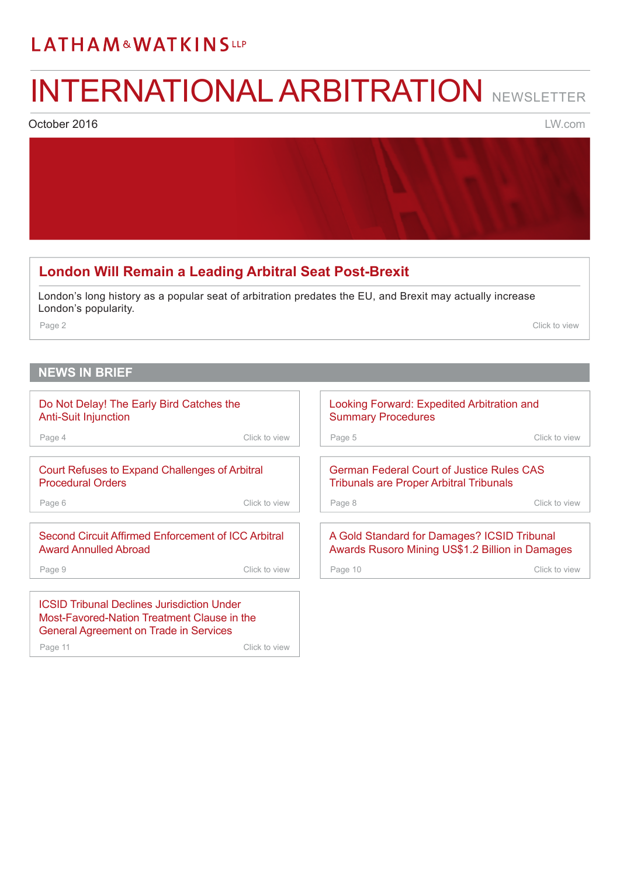# <span id="page-0-0"></span>INTERNATIONAL ARBITRATION NEWSLETTER

October 2016

[LW.com](http://www.lw.com)

#### **[London Will Remain a Leading Arbitral Seat Post-Brexit](#page-1-0)**  London's long history as a popular seat of arbitration predates the EU, and Brexit may actually increase London's popularity. Page 2 Click to view **NEWS IN BRIEF** [Court Refuses to Expand Challenges of Arbitral](#page-5-0)  Procedural Orders Page 6 Click to view [Second Circuit Affirmed Enforcement of ICC Arbitral](#page-8-0)  Award Annulled Abroad Page 9 Click to view [German Federal Court of Justice Rules CAS](#page-7-0)  Tribunals are Proper Arbitral Tribunals Page 8 Click to view A Gold Standard for Damages? ICSID Tribunal [Awards Rusoro Mining US\\$1.2 Billion in Damages](#page-9-0) Page 10 Click to view [Do Not Delay! The Early Bird Catches the](#page-3-0)  Anti-Suit Injunction Page 4 Click to view [Looking Forward: Expedited Arbitration and](#page-4-0)  Summary Procedures Page 5 Click to view

ICSID Tribunal Declines Jurisdiction Under [Most-Favored-Nation Treatment Clause in the](#page-10-0)  General Agreement on Trade in Services Page 11 Click to view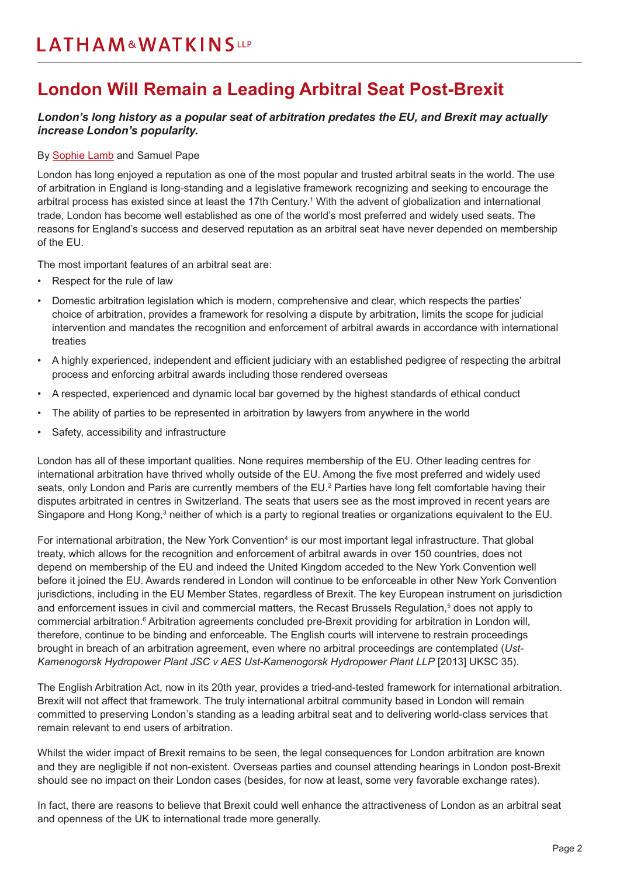### <span id="page-1-0"></span>**London Will Remain a Leading Arbitral Seat Post-Brexit**

#### *London's long history as a popular seat of arbitration predates the EU, and Brexit may actually increase London's popularity.*

#### By [Sophie Lamb](https://www.lw.com/people/sophie-lamb) and Samuel Pape

London has long enjoyed a reputation as one of the most popular and trusted arbitral seats in the world. The use of arbitration in England is long-standing and a legislative framework recognizing and seeking to encourage the arbitral process has existed since at least the 17th Century.<sup>1</sup> With the advent of globalization and international trade, London has become well established as one of the world's most preferred and widely used seats. The reasons for England's success and deserved reputation as an arbitral seat have never depended on membership of the EU.

The most important features of an arbitral seat are:

- Respect for the rule of law
- Domestic arbitration legislation which is modern, comprehensive and clear, which respects the parties' choice of arbitration, provides a framework for resolving a dispute by arbitration, limits the scope for judicial intervention and mandates the recognition and enforcement of arbitral awards in accordance with international treaties
- A highly experienced, independent and efficient judiciary with an established pedigree of respecting the arbitral process and enforcing arbitral awards including those rendered overseas
- A respected, experienced and dynamic local bar governed by the highest standards of ethical conduct
- The ability of parties to be represented in arbitration by lawyers from anywhere in the world
- Safety, accessibility and infrastructure

London has all of these important qualities. None requires membership of the EU. Other leading centres for international arbitration have thrived wholly outside of the EU. Among the five most preferred and widely used seats, only London and Paris are currently members of the EU.<sup>2</sup> Parties have long felt comfortable having their disputes arbitrated in centres in Switzerland. The seats that users see as the most improved in recent years are Singapore and Hong Kong,<sup>3</sup> neither of which is a party to regional treaties or organizations equivalent to the EU.

For international arbitration, the New York Convention<sup>4</sup> is our most important legal infrastructure. That global treaty, which allows for the recognition and enforcement of arbitral awards in over 150 countries, does not depend on membership of the EU and indeed the United Kingdom acceded to the New York Convention well before it joined the EU. Awards rendered in London will continue to be enforceable in other New York Convention jurisdictions, including in the EU Member States, regardless of Brexit. The key European instrument on jurisdiction and enforcement issues in civil and commercial matters, the Recast Brussels Regulation,<sup>5</sup> does not apply to commercial arbitration.<sup>6</sup> Arbitration agreements concluded pre-Brexit providing for arbitration in London will, therefore, continue to be binding and enforceable. The English courts will intervene to restrain proceedings brought in breach of an arbitration agreement, even where no arbitral proceedings are contemplated (*Ust-*Kamenogorsk Hydropower Plant JSC v AES Ust-Kamenogorsk Hydropower Plant LLP [2013] UKSC 35).

The English Arbitration Act, now in its 20th year, provides a tried-and-tested framework for international arbitration. Brexit will not affect that framework. The truly international arbitral community based in London will remain committed to preserving London's standing as a leading arbitral seat and to delivering world-class services that remain relevant to end users of arbitration.

Whilst the wider impact of Brexit remains to be seen, the legal consequences for London arbitration are known and they are negligible if not non-existent. Overseas parties and counsel attending hearings in London post-Brexit should see no impact on their London cases (besides, for now at least, some very favorable exchange rates).

In fact, there are reasons to believe that Brexit could well enhance the attractiveness of London as an arbitral seat and openness of the UK to international trade more generally.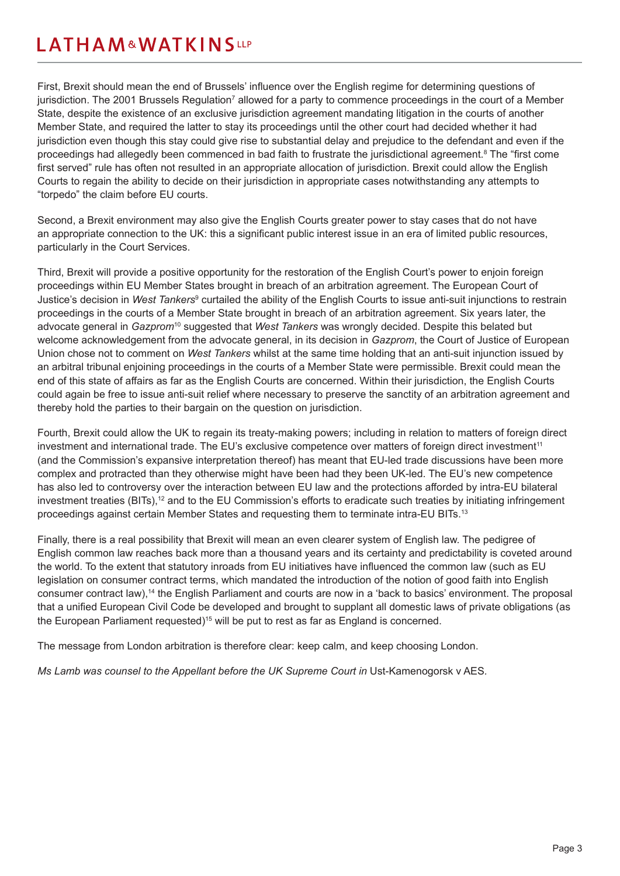First, Brexit should mean the end of Brussels' influence over the English regime for determining questions of jurisdiction. The 2001 Brussels Regulation<sup>7</sup> allowed for a party to commence proceedings in the court of a Member State, despite the existence of an exclusive jurisdiction agreement mandating litigation in the courts of another Member State, and required the latter to stay its proceedings until the other court had decided whether it had jurisdiction even though this stay could give rise to substantial delay and prejudice to the defendant and even if the proceedings had allegedly been commenced in bad faith to frustrate the jurisdictional agreement.<sup>8</sup> The "first come first served" rule has often not resulted in an appropriate allocation of jurisdiction. Brexit could allow the English Courts to regain the ability to decide on their jurisdiction in appropriate cases notwithstanding any attempts to "torpedo" the claim before EU courts.

Second, a Brexit environment may also give the English Courts greater power to stay cases that do not have an appropriate connection to the UK: this a significant public interest issue in an era of limited public resources, particularly in the Court Services.

Third, Brexit will provide a positive opportunity for the restoration of the English Court's power to enjoin foreign proceedings within EU Member States brought in breach of an arbitration agreement. The European Court of Justice's decision in *West Tankers*<sup>9</sup> curtailed the ability of the English Courts to issue anti-suit injunctions to restrain proceedings in the courts of a Member State brought in breach of an arbitration agreement. Six years later, the advocate general in *Gazprom*<sup>10</sup> suggested that *West Tankers* was wrongly decided. Despite this belated but welcome acknowledgement from the advocate general, in its decision in *Gazprom*, the Court of Justice of European Union chose not to comment on *West Tankers* whilst at the same time holding that an anti-suit injunction issued by an arbitral tribunal enjoining proceedings in the courts of a Member State were permissible. Brexit could mean the end of this state of affairs as far as the English Courts are concerned. Within their jurisdiction, the English Courts could again be free to issue anti-suit relief where necessary to preserve the sanctity of an arbitration agreement and thereby hold the parties to their bargain on the question on jurisdiction.

Fourth, Brexit could allow the UK to regain its treaty-making powers; including in relation to matters of foreign direct investment and international trade. The EU's exclusive competence over matters of foreign direct investment<sup>11</sup> (and the Commission's expansive interpretation thereof) has meant that EU-led trade discussions have been more complex and protracted than they otherwise might have been had they been UK-led. The EU's new competence has also led to controversy over the interaction between EU law and the protections afforded by intra-EU bilateral investment treaties (BITs),<sup>12</sup> and to the EU Commission's efforts to eradicate such treaties by initiating infringement proceedings against certain Member States and requesting them to terminate intra-EU BITs.13

Finally, there is a real possibility that Brexit will mean an even clearer system of English law. The pedigree of English common law reaches back more than a thousand years and its certainty and predictability is coveted around the world. To the extent that statutory inroads from EU initiatives have influenced the common law (such as EU legislation on consumer contract terms, which mandated the introduction of the notion of good faith into English consumer contract law),14 the English Parliament and courts are now in a 'back to basics' environment. The proposal that a unified European Civil Code be developed and brought to supplant all domestic laws of private obligations (as the European Parliament requested)<sup>15</sup> will be put to rest as far as England is concerned.

The message from London arbitration is therefore clear: keep calm, and keep choosing London.

*Ms Lamb was counsel to the Appellant before the UK Supreme Court in Ust-Kamenogorsk v AES.*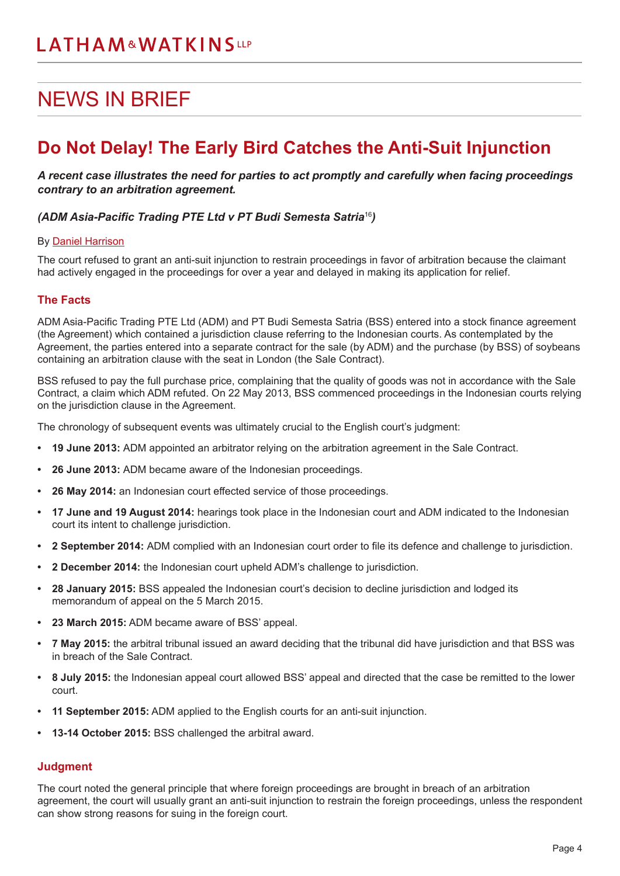# <span id="page-3-0"></span>NEWS IN BRIEF

### **Do Not Delay! The Early Bird Catches the Anti-Suit Injunction**

*A recent case illustrates the need for parties to act promptly and carefully when facing proceedings contrary to an arbitration agreement.*

#### *(ADM Asia-Pacific Trading PTE Ltd v PT Budi Semesta Satria*<sup>16</sup>*)*

#### By [Daniel Harrison](https://www.lw.com/people/daniel-harrison)

The court refused to grant an anti-suit injunction to restrain proceedings in favor of arbitration because the claimant had actively engaged in the proceedings for over a year and delayed in making its application for relief.

#### **The Facts**

ADM Asia-Pacific Trading PTE Ltd (ADM) and PT Budi Semesta Satria (BSS) entered into a stock finance agreement (the Agreement) which contained a jurisdiction clause referring to the Indonesian courts. As contemplated by the Agreement, the parties entered into a separate contract for the sale (by ADM) and the purchase (by BSS) of soybeans containing an arbitration clause with the seat in London (the Sale Contract).

BSS refused to pay the full purchase price, complaining that the quality of goods was not in accordance with the Sale Contract, a claim which ADM refuted. On 22 May 2013, BSS commenced proceedings in the Indonesian courts relying on the jurisdiction clause in the Agreement.

The chronology of subsequent events was ultimately crucial to the English court's judgment:

- **• 19 June 2013:** ADM appointed an arbitrator relying on the arbitration agreement in the Sale Contract.
- **• 26 June 2013:** ADM became aware of the Indonesian proceedings.
- **• 26 May 2014:** an Indonesian court effected service of those proceedings.
- **• 17 June and 19 August 2014:** hearings took place in the Indonesian court and ADM indicated to the Indonesian court its intent to challenge jurisdiction.
- **• 2 September 2014:** ADM complied with an Indonesian court order to file its defence and challenge to jurisdiction.
- **• 2 December 2014:** the Indonesian court upheld ADM's challenge to jurisdiction.
- **• 28 January 2015:** BSS appealed the Indonesian court's decision to decline jurisdiction and lodged its memorandum of appeal on the 5 March 2015.
- **• 23 March 2015:** ADM became aware of BSS' appeal.
- **• 7 May 2015:** the arbitral tribunal issued an award deciding that the tribunal did have jurisdiction and that BSS was in breach of the Sale Contract.
- **• 8 July 2015:** the Indonesian appeal court allowed BSS' appeal and directed that the case be remitted to the lower court.
- **• 11 September 2015:** ADM applied to the English courts for an anti-suit injunction.
- **• 13-14 October 2015:** BSS challenged the arbitral award.

#### **Judgment**

The court noted the general principle that where foreign proceedings are brought in breach of an arbitration agreement, the court will usually grant an anti-suit injunction to restrain the foreign proceedings, unless the respondent can show strong reasons for suing in the foreign court.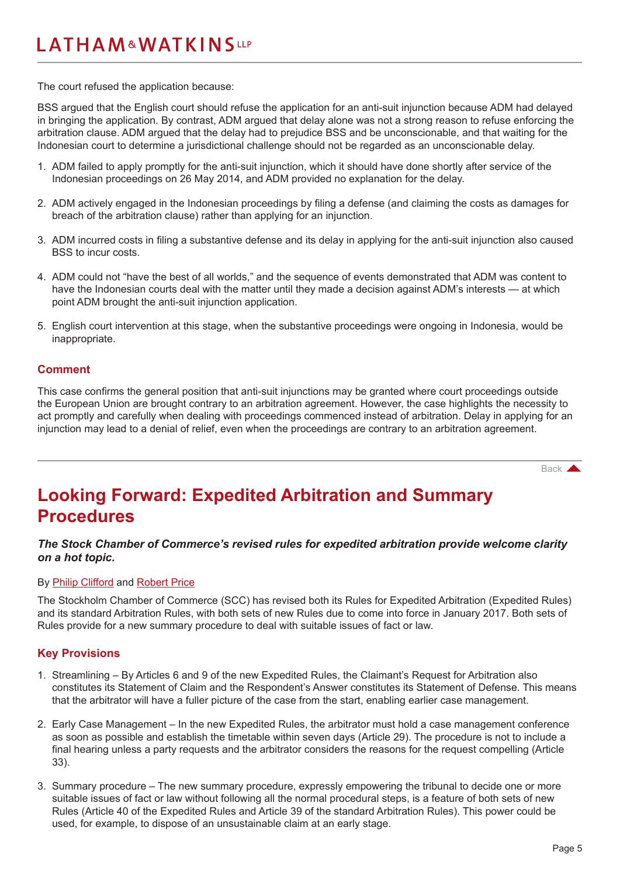<span id="page-4-0"></span>The court refused the application because:

BSS argued that the English court should refuse the application for an anti-suit injunction because ADM had delayed in bringing the application. By contrast, ADM argued that delay alone was not a strong reason to refuse enforcing the arbitration clause. ADM argued that the delay had to prejudice BSS and be unconscionable, and that waiting for the Indonesian court to determine a jurisdictional challenge should not be regarded as an unconscionable delay.

- 1. ADM failed to apply promptly for the anti-suit injunction, which it should have done shortly after service of the Indonesian proceedings on 26 May 2014, and ADM provided no explanation for the delay.
- 2. ADM actively engaged in the Indonesian proceedings by filing a defense (and claiming the costs as damages for breach of the arbitration clause) rather than applying for an injunction.
- 3. ADM incurred costs in filing a substantive defense and its delay in applying for the anti-suit injunction also caused BSS to incur costs.
- 4. ADM could not "have the best of all worlds," and the sequence of events demonstrated that ADM was content to have the Indonesian courts deal with the matter until they made a decision against ADM's interests — at which point ADM brought the anti-suit injunction application.
- 5. English court intervention at this stage, when the substantive proceedings were ongoing in Indonesia, would be inappropriate.

#### **Comment**

This case confirms the general position that anti-suit injunctions may be granted where court proceedings outside the European Union are brought contrary to an arbitration agreement. However, the case highlights the necessity to act promptly and carefully when dealing with proceedings commenced instead of arbitration. Delay in applying for an injunction may lead to a denial of relief, even when the proceedings are contrary to an arbitration agreement.

[Back](#page-0-0) **A** 

### **Looking Forward: Expedited Arbitration and Summary Procedures**

#### *The Stock Chamber of Commerce's revised rules for expedited arbitration provide welcome clarity on a hot topic.*

#### By [Philip Clifford](https://www.lw.com/people/philip-clifford) and [Robert Price](https://www.lw.com/people/robert-price)

The Stockholm Chamber of Commerce (SCC) has revised both its Rules for Expedited Arbitration (Expedited Rules) and its standard Arbitration Rules, with both sets of new Rules due to come into force in January 2017. Both sets of Rules provide for a new summary procedure to deal with suitable issues of fact or law.

#### **Key Provisions**

- 1. Streamlining By Articles 6 and 9 of the new Expedited Rules, the Claimant's Request for Arbitration also constitutes its Statement of Claim and the Respondent's Answer constitutes its Statement of Defense. This means that the arbitrator will have a fuller picture of the case from the start, enabling earlier case management.
- 2. Early Case Management In the new Expedited Rules, the arbitrator must hold a case management conference as soon as possible and establish the timetable within seven days (Article 29). The procedure is not to include a final hearing unless a party requests and the arbitrator considers the reasons for the request compelling (Article 33).
- 3. Summary procedure The new summary procedure, expressly empowering the tribunal to decide one or more suitable issues of fact or law without following all the normal procedural steps, is a feature of both sets of new Rules (Article 40 of the Expedited Rules and Article 39 of the standard Arbitration Rules). This power could be used, for example, to dispose of an unsustainable claim at an early stage.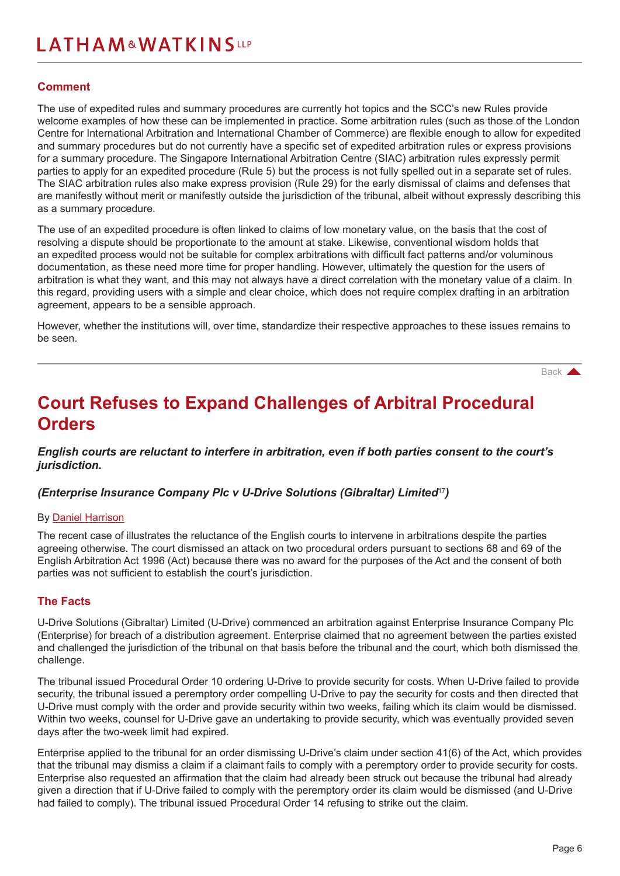#### <span id="page-5-0"></span>**Comment**

The use of expedited rules and summary procedures are currently hot topics and the SCC's new Rules provide welcome examples of how these can be implemented in practice. Some arbitration rules (such as those of the London Centre for International Arbitration and International Chamber of Commerce) are flexible enough to allow for expedited and summary procedures but do not currently have a specific set of expedited arbitration rules or express provisions for a summary procedure. The Singapore International Arbitration Centre (SIAC) arbitration rules expressly permit parties to apply for an expedited procedure (Rule 5) but the process is not fully spelled out in a separate set of rules. The SIAC arbitration rules also make express provision (Rule 29) for the early dismissal of claims and defenses that are manifestly without merit or manifestly outside the jurisdiction of the tribunal, albeit without expressly describing this as a summary procedure.

The use of an expedited procedure is often linked to claims of low monetary value, on the basis that the cost of resolving a dispute should be proportionate to the amount at stake. Likewise, conventional wisdom holds that an expedited process would not be suitable for complex arbitrations with difficult fact patterns and/or voluminous documentation, as these need more time for proper handling. However, ultimately the question for the users of arbitration is what they want, and this may not always have a direct correlation with the monetary value of a claim. In this regard, providing users with a simple and clear choice, which does not require complex drafting in an arbitration agreement, appears to be a sensible approach.

However, whether the institutions will, over time, standardize their respective approaches to these issues remains to be seen.

[Back](#page-0-0) **A** 

### **Court Refuses to Expand Challenges of Arbitral Procedural Orders**

*English courts are reluctant to interfere in arbitration, even if both parties consent to the court's jurisdiction.*

*(Enterprise Insurance Company Plc v U-Drive Solutions (Gibraltar) Limited*<sup>17</sup>*)*

#### By [Daniel Harrison](https://www.lw.com/people/daniel-harrison)

The recent case of illustrates the reluctance of the English courts to intervene in arbitrations despite the parties agreeing otherwise. The court dismissed an attack on two procedural orders pursuant to sections 68 and 69 of the English Arbitration Act 1996 (Act) because there was no award for the purposes of the Act and the consent of both parties was not sufficient to establish the court's jurisdiction.

#### **The Facts**

U-Drive Solutions (Gibraltar) Limited (U-Drive) commenced an arbitration against Enterprise Insurance Company Plc (Enterprise) for breach of a distribution agreement. Enterprise claimed that no agreement between the parties existed and challenged the jurisdiction of the tribunal on that basis before the tribunal and the court, which both dismissed the challenge.

The tribunal issued Procedural Order 10 ordering U-Drive to provide security for costs. When U-Drive failed to provide security, the tribunal issued a peremptory order compelling U-Drive to pay the security for costs and then directed that U-Drive must comply with the order and provide security within two weeks, failing which its claim would be dismissed. Within two weeks, counsel for U-Drive gave an undertaking to provide security, which was eventually provided seven days after the two-week limit had expired.

Enterprise applied to the tribunal for an order dismissing U-Drive's claim under section 41(6) of the Act, which provides that the tribunal may dismiss a claim if a claimant fails to comply with a peremptory order to provide security for costs. Enterprise also requested an affirmation that the claim had already been struck out because the tribunal had already given a direction that if U-Drive failed to comply with the peremptory order its claim would be dismissed (and U-Drive had failed to comply). The tribunal issued Procedural Order 14 refusing to strike out the claim.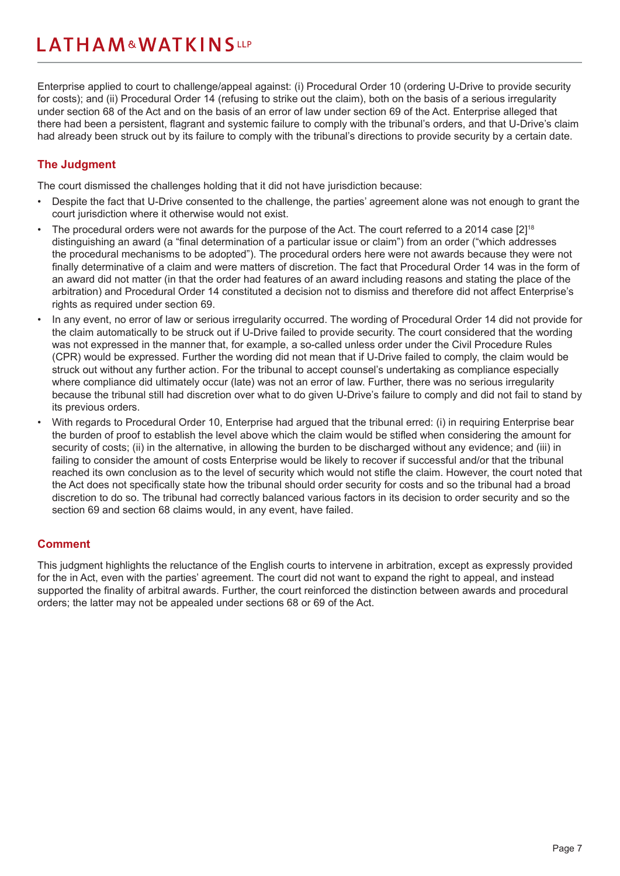Enterprise applied to court to challenge/appeal against: (i) Procedural Order 10 (ordering U-Drive to provide security for costs); and (ii) Procedural Order 14 (refusing to strike out the claim), both on the basis of a serious irregularity under section 68 of the Act and on the basis of an error of law under section 69 of the Act. Enterprise alleged that there had been a persistent, flagrant and systemic failure to comply with the tribunal's orders, and that U-Drive's claim had already been struck out by its failure to comply with the tribunal's directions to provide security by a certain date.

#### **The Judgment**

The court dismissed the challenges holding that it did not have jurisdiction because:

- Despite the fact that U-Drive consented to the challenge, the parties' agreement alone was not enough to grant the court jurisdiction where it otherwise would not exist.
- The procedural orders were not awards for the purpose of the Act. The court referred to a 2014 case [2]<sup>18</sup> distinguishing an award (a "final determination of a particular issue or claim") from an order ("which addresses the procedural mechanisms to be adopted"). The procedural orders here were not awards because they were not finally determinative of a claim and were matters of discretion. The fact that Procedural Order 14 was in the form of an award did not matter (in that the order had features of an award including reasons and stating the place of the arbitration) and Procedural Order 14 constituted a decision not to dismiss and therefore did not affect Enterprise's rights as required under section 69.
- In any event, no error of law or serious irregularity occurred. The wording of Procedural Order 14 did not provide for the claim automatically to be struck out if U-Drive failed to provide security. The court considered that the wording was not expressed in the manner that, for example, a so-called unless order under the Civil Procedure Rules (CPR) would be expressed. Further the wording did not mean that if U-Drive failed to comply, the claim would be struck out without any further action. For the tribunal to accept counsel's undertaking as compliance especially where compliance did ultimately occur (late) was not an error of law. Further, there was no serious irregularity because the tribunal still had discretion over what to do given U-Drive's failure to comply and did not fail to stand by its previous orders.
- With regards to Procedural Order 10, Enterprise had argued that the tribunal erred: (i) in requiring Enterprise bear the burden of proof to establish the level above which the claim would be stifled when considering the amount for security of costs; (ii) in the alternative, in allowing the burden to be discharged without any evidence; and (iii) in failing to consider the amount of costs Enterprise would be likely to recover if successful and/or that the tribunal reached its own conclusion as to the level of security which would not stifle the claim. However, the court noted that the Act does not specifically state how the tribunal should order security for costs and so the tribunal had a broad discretion to do so. The tribunal had correctly balanced various factors in its decision to order security and so the section 69 and section 68 claims would, in any event, have failed.

#### **Comment**

This judgment highlights the reluctance of the English courts to intervene in arbitration, except as expressly provided for the in Act, even with the parties' agreement. The court did not want to expand the right to appeal, and instead supported the finality of arbitral awards. Further, the court reinforced the distinction between awards and procedural orders; the latter may not be appealed under sections 68 or 69 of the Act.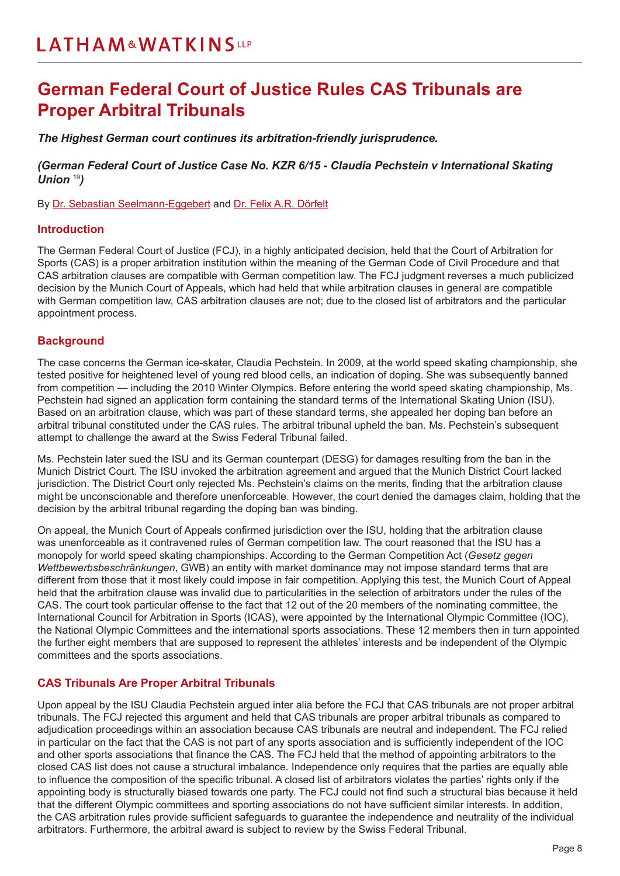### <span id="page-7-0"></span>**German Federal Court of Justice Rules CAS Tribunals are Proper Arbitral Tribunals**

*The Highest German court continues its arbitration-friendly jurisprudence.*

*(German Federal Court of Justice Case No. KZR 6/15 - Claudia Pechstein v International Skating Union* <sup>19</sup>*)*

By [Dr. Sebastian Seelmann-Eggebert](https://www.lw.com/people/sebastian-seelmann-eggebert) and [Dr. Felix A.R. Dörfelt](https://www.lw.com/people/felix-doerfelt)

#### **Introduction**

The German Federal Court of Justice (FCJ), in a highly anticipated decision, held that the Court of Arbitration for Sports (CAS) is a proper arbitration institution within the meaning of the German Code of Civil Procedure and that CAS arbitration clauses are compatible with German competition law. The FCJ judgment reverses a much publicized decision by the Munich Court of Appeals, which had held that while arbitration clauses in general are compatible with German competition law, CAS arbitration clauses are not; due to the closed list of arbitrators and the particular appointment process.

#### **Background**

The case concerns the German ice-skater, Claudia Pechstein. In 2009, at the world speed skating championship, she tested positive for heightened level of young red blood cells, an indication of doping. She was subsequently banned from competition — including the 2010 Winter Olympics. Before entering the world speed skating championship, Ms. Pechstein had signed an application form containing the standard terms of the International Skating Union (ISU). Based on an arbitration clause, which was part of these standard terms, she appealed her doping ban before an arbitral tribunal constituted under the CAS rules. The arbitral tribunal upheld the ban. Ms. Pechstein's subsequent attempt to challenge the award at the Swiss Federal Tribunal failed.

Ms. Pechstein later sued the ISU and its German counterpart (DESG) for damages resulting from the ban in the Munich District Court. The ISU invoked the arbitration agreement and argued that the Munich District Court lacked jurisdiction. The District Court only rejected Ms. Pechstein's claims on the merits, finding that the arbitration clause might be unconscionable and therefore unenforceable. However, the court denied the damages claim, holding that the decision by the arbitral tribunal regarding the doping ban was binding.

On appeal, the Munich Court of Appeals confirmed jurisdiction over the ISU, holding that the arbitration clause was unenforceable as it contravened rules of German competition law. The court reasoned that the ISU has a monopoly for world speed skating championships. According to the German Competition Act (*Gesetz gegen Wettbewerbsbeschränkungen*, GWB) an entity with market dominance may not impose standard terms that are different from those that it most likely could impose in fair competition. Applying this test, the Munich Court of Appeal held that the arbitration clause was invalid due to particularities in the selection of arbitrators under the rules of the CAS. The court took particular offense to the fact that 12 out of the 20 members of the nominating committee, the International Council for Arbitration in Sports (ICAS), were appointed by the International Olympic Committee (IOC), the National Olympic Committees and the international sports associations. These 12 members then in turn appointed the further eight members that are supposed to represent the athletes' interests and be independent of the Olympic committees and the sports associations.

#### **CAS Tribunals Are Proper Arbitral Tribunals**

Upon appeal by the ISU Claudia Pechstein argued inter alia before the FCJ that CAS tribunals are not proper arbitral tribunals. The FCJ rejected this argument and held that CAS tribunals are proper arbitral tribunals as compared to adjudication proceedings within an association because CAS tribunals are neutral and independent. The FCJ relied in particular on the fact that the CAS is not part of any sports association and is sufficiently independent of the IOC and other sports associations that finance the CAS. The FCJ held that the method of appointing arbitrators to the closed CAS list does not cause a structural imbalance. Independence only requires that the parties are equally able to influence the composition of the specific tribunal. A closed list of arbitrators violates the parties' rights only if the appointing body is structurally biased towards one party. The FCJ could not find such a structural bias because it held that the different Olympic committees and sporting associations do not have sufficient similar interests. In addition, the CAS arbitration rules provide sufficient safeguards to guarantee the independence and neutrality of the individual arbitrators. Furthermore, the arbitral award is subject to review by the Swiss Federal Tribunal.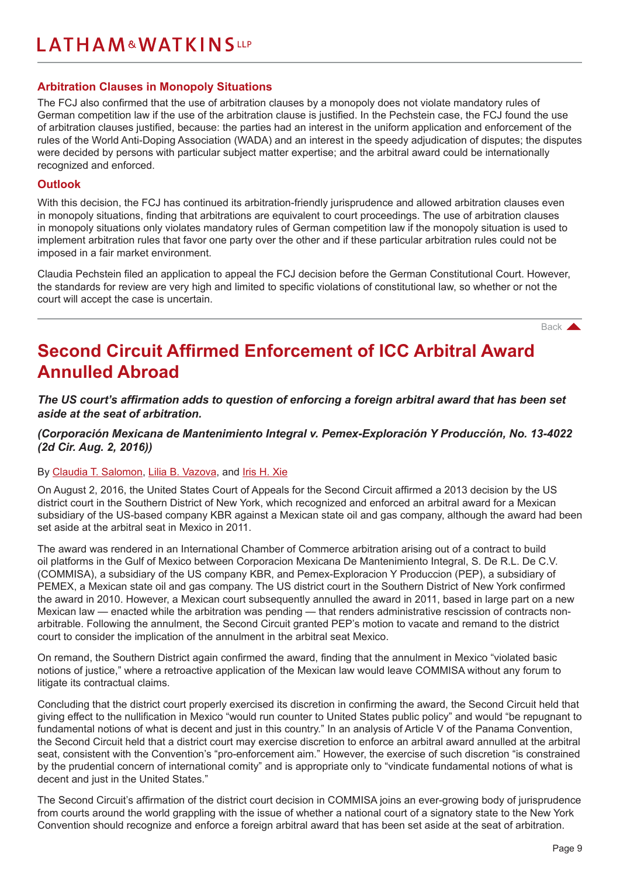#### <span id="page-8-0"></span>**Arbitration Clauses in Monopoly Situations**

The FCJ also confirmed that the use of arbitration clauses by a monopoly does not violate mandatory rules of German competition law if the use of the arbitration clause is justified. In the Pechstein case, the FCJ found the use of arbitration clauses justified, because: the parties had an interest in the uniform application and enforcement of the rules of the World Anti-Doping Association (WADA) and an interest in the speedy adjudication of disputes; the disputes were decided by persons with particular subject matter expertise; and the arbitral award could be internationally recognized and enforced.

#### **Outlook**

With this decision, the FCJ has continued its arbitration-friendly jurisprudence and allowed arbitration clauses even in monopoly situations, finding that arbitrations are equivalent to court proceedings. The use of arbitration clauses in monopoly situations only violates mandatory rules of German competition law if the monopoly situation is used to implement arbitration rules that favor one party over the other and if these particular arbitration rules could not be imposed in a fair market environment.

Claudia Pechstein filed an application to appeal the FCJ decision before the German Constitutional Court. However, the standards for review are very high and limited to specific violations of constitutional law, so whether or not the court will accept the case is uncertain.

[Back](#page-0-0) **A** 

### **Second Circuit Affirmed Enforcement of ICC Arbitral Award Annulled Abroad**

*The US court's affirmation adds to question of enforcing a foreign arbitral award that has been set aside at the seat of arbitration.* 

*(Corporación Mexicana de Mantenimiento Integral v. Pemex-Exploración Y Producción, No. 13-4022 (2d Cir. Aug. 2, 2016))*

#### By [Claudia T. Salomon,](https://www.lw.com/people/claudia-salomon) [Lilia B. Vazova,](https://www.lw.com/people/LiliaBVazova) and [Iris H. Xie](https://www.lw.com/people/hanyu-xie)

On August 2, 2016, the United States Court of Appeals for the Second Circuit affirmed a 2013 decision by the US district court in the Southern District of New York, which recognized and enforced an arbitral award for a Mexican subsidiary of the US-based company KBR against a Mexican state oil and gas company, although the award had been set aside at the arbitral seat in Mexico in 2011.

The award was rendered in an International Chamber of Commerce arbitration arising out of a contract to build oil platforms in the Gulf of Mexico between Corporacion Mexicana De Mantenimiento Integral, S. De R.L. De C.V. (COMMISA), a subsidiary of the US company KBR, and Pemex-Exploracion Y Produccion (PEP), a subsidiary of PEMEX, a Mexican state oil and gas company. The US district court in the Southern District of New York confirmed the award in 2010. However, a Mexican court subsequently annulled the award in 2011, based in large part on a new Mexican law — enacted while the arbitration was pending — that renders administrative rescission of contracts nonarbitrable. Following the annulment, the Second Circuit granted PEP's motion to vacate and remand to the district court to consider the implication of the annulment in the arbitral seat Mexico.

On remand, the Southern District again confirmed the award, finding that the annulment in Mexico "violated basic notions of justice," where a retroactive application of the Mexican law would leave COMMISA without any forum to litigate its contractual claims.

Concluding that the district court properly exercised its discretion in confirming the award, the Second Circuit held that giving effect to the nullification in Mexico "would run counter to United States public policy" and would "be repugnant to fundamental notions of what is decent and just in this country." In an analysis of Article V of the Panama Convention, the Second Circuit held that a district court may exercise discretion to enforce an arbitral award annulled at the arbitral seat, consistent with the Convention's "pro-enforcement aim." However, the exercise of such discretion "is constrained by the prudential concern of international comity" and is appropriate only to "vindicate fundamental notions of what is decent and just in the United States."

The Second Circuit's affirmation of the district court decision in COMMISA joins an ever-growing body of jurisprudence from courts around the world grappling with the issue of whether a national court of a signatory state to the New York Convention should recognize and enforce a foreign arbitral award that has been set aside at the seat of arbitration.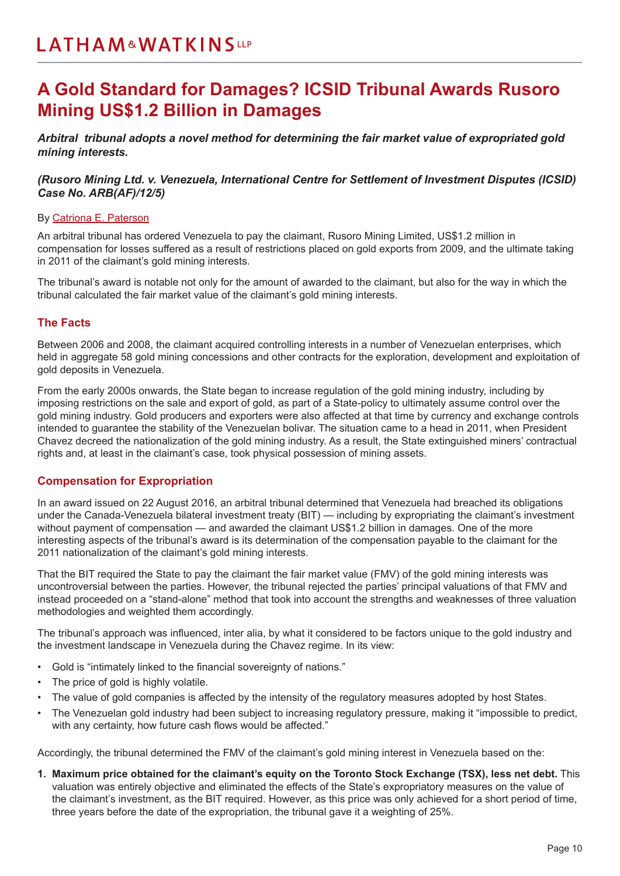### <span id="page-9-0"></span>**A Gold Standard for Damages? ICSID Tribunal Awards Rusoro Mining US\$1.2 Billion in Damages**

*Arbitral tribunal adopts a novel method for determining the fair market value of expropriated gold mining interests.* 

#### *(Rusoro Mining Ltd. v. Venezuela, International Centre for Settlement of Investment Disputes (ICSID) Case No. ARB(AF)/12/5)*

#### By Catriona E. Paterson

An arbitral tribunal has ordered Venezuela to pay the claimant, Rusoro Mining Limited, US\$1.2 million in compensation for losses suffered as a result of restrictions placed on gold exports from 2009, and the ultimate taking in 2011 of the claimant's gold mining interests.

The tribunal's award is notable not only for the amount of awarded to the claimant, but also for the way in which the tribunal calculated the fair market value of the claimant's gold mining interests.

#### **The Facts**

Between 2006 and 2008, the claimant acquired controlling interests in a number of Venezuelan enterprises, which held in aggregate 58 gold mining concessions and other contracts for the exploration, development and exploitation of gold deposits in Venezuela.

From the early 2000s onwards, the State began to increase regulation of the gold mining industry, including by imposing restrictions on the sale and export of gold, as part of a State-policy to ultimately assume control over the gold mining industry. Gold producers and exporters were also affected at that time by currency and exchange controls intended to guarantee the stability of the Venezuelan bolivar. The situation came to a head in 2011, when President Chavez decreed the nationalization of the gold mining industry. As a result, the State extinguished miners' contractual rights and, at least in the claimant's case, took physical possession of mining assets.

#### **Compensation for Expropriation**

In an award issued on 22 August 2016, an arbitral tribunal determined that Venezuela had breached its obligations under the Canada-Venezuela bilateral investment treaty (BIT) — including by expropriating the claimant's investment without payment of compensation — and awarded the claimant US\$1.2 billion in damages. One of the more interesting aspects of the tribunal's award is its determination of the compensation payable to the claimant for the 2011 nationalization of the claimant's gold mining interests.

That the BIT required the State to pay the claimant the fair market value (FMV) of the gold mining interests was uncontroversial between the parties. However, the tribunal rejected the parties' principal valuations of that FMV and instead proceeded on a "stand-alone" method that took into account the strengths and weaknesses of three valuation methodologies and weighted them accordingly.

The tribunal's approach was influenced, inter alia, by what it considered to be factors unique to the gold industry and the investment landscape in Venezuela during the Chavez regime. In its view:

- Gold is "intimately linked to the financial sovereignty of nations."
- The price of gold is highly volatile.
- The value of gold companies is affected by the intensity of the regulatory measures adopted by host States.
- The Venezuelan gold industry had been subject to increasing regulatory pressure, making it "impossible to predict, with any certainty, how future cash flows would be affected."

Accordingly, the tribunal determined the FMV of the claimant's gold mining interest in Venezuela based on the:

**1. Maximum price obtained for the claimant's equity on the Toronto Stock Exchange (TSX), less net debt.** This valuation was entirely objective and eliminated the effects of the State's expropriatory measures on the value of the claimant's investment, as the BIT required. However, as this price was only achieved for a short period of time, three years before the date of the expropriation, the tribunal gave it a weighting of 25%.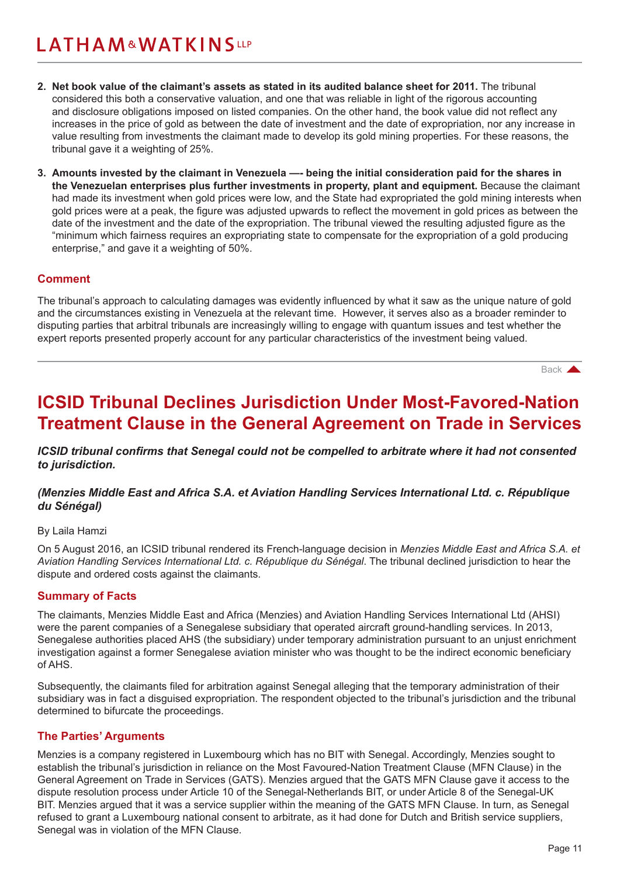- <span id="page-10-0"></span>**2. Net book value of the claimant's assets as stated in its audited balance sheet for 2011.** The tribunal considered this both a conservative valuation, and one that was reliable in light of the rigorous accounting and disclosure obligations imposed on listed companies. On the other hand, the book value did not reflect any increases in the price of gold as between the date of investment and the date of expropriation, nor any increase in value resulting from investments the claimant made to develop its gold mining properties. For these reasons, the tribunal gave it a weighting of 25%.
- **3. Amounts invested by the claimant in Venezuela —- being the initial consideration paid for the shares in the Venezuelan enterprises plus further investments in property, plant and equipment.** Because the claimant had made its investment when gold prices were low, and the State had expropriated the gold mining interests when gold prices were at a peak, the figure was adjusted upwards to reflect the movement in gold prices as between the date of the investment and the date of the expropriation. The tribunal viewed the resulting adjusted figure as the "minimum which fairness requires an expropriating state to compensate for the expropriation of a gold producing enterprise," and gave it a weighting of 50%.

#### **Comment**

The tribunal's approach to calculating damages was evidently influenced by what it saw as the unique nature of gold and the circumstances existing in Venezuela at the relevant time. However, it serves also as a broader reminder to disputing parties that arbitral tribunals are increasingly willing to engage with quantum issues and test whether the expert reports presented properly account for any particular characteristics of the investment being valued.

[Back](#page-0-0)

### **ICSID Tribunal Declines Jurisdiction Under Most-Favored-Nation Treatment Clause in the General Agreement on Trade in Services**

*ICSID tribunal confirms that Senegal could not be compelled to arbitrate where it had not consented to jurisdiction.*

#### *(Menzies Middle East and Africa S.A. et Aviation Handling Services International Ltd. c. République du Sénégal)*

#### By Laila Hamzi

On 5 August 2016, an ICSID tribunal rendered its French-language decision in *Menzies Middle East and Africa S.A. et Aviation Handling Services International Ltd. c. République du Sénégal*. The tribunal declined jurisdiction to hear the dispute and ordered costs against the claimants.

#### **Summary of Facts**

The claimants, Menzies Middle East and Africa (Menzies) and Aviation Handling Services International Ltd (AHSI) were the parent companies of a Senegalese subsidiary that operated aircraft ground-handling services. In 2013, Senegalese authorities placed AHS (the subsidiary) under temporary administration pursuant to an unjust enrichment investigation against a former Senegalese aviation minister who was thought to be the indirect economic beneficiary of AHS.

Subsequently, the claimants filed for arbitration against Senegal alleging that the temporary administration of their subsidiary was in fact a disguised expropriation. The respondent objected to the tribunal's jurisdiction and the tribunal determined to bifurcate the proceedings.

#### **The Parties' Arguments**

Menzies is a company registered in Luxembourg which has no BIT with Senegal. Accordingly, Menzies sought to establish the tribunal's jurisdiction in reliance on the Most Favoured-Nation Treatment Clause (MFN Clause) in the General Agreement on Trade in Services (GATS). Menzies argued that the GATS MFN Clause gave it access to the dispute resolution process under Article 10 of the Senegal-Netherlands BIT, or under Article 8 of the Senegal-UK BIT. Menzies argued that it was a service supplier within the meaning of the GATS MFN Clause. In turn, as Senegal refused to grant a Luxembourg national consent to arbitrate, as it had done for Dutch and British service suppliers, Senegal was in violation of the MFN Clause.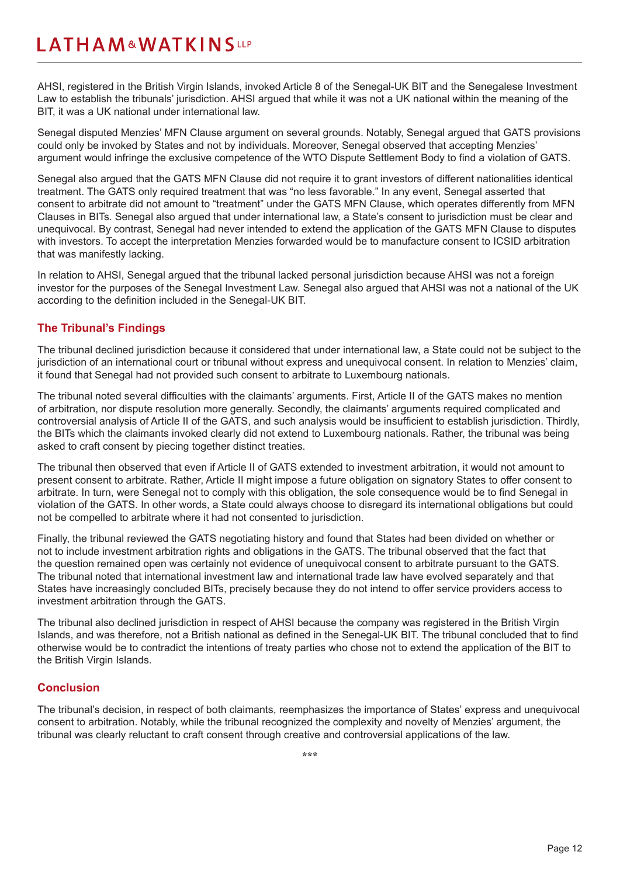AHSI, registered in the British Virgin Islands, invoked Article 8 of the Senegal-UK BIT and the Senegalese Investment Law to establish the tribunals' jurisdiction. AHSI argued that while it was not a UK national within the meaning of the BIT, it was a UK national under international law.

Senegal disputed Menzies' MFN Clause argument on several grounds. Notably, Senegal argued that GATS provisions could only be invoked by States and not by individuals. Moreover, Senegal observed that accepting Menzies' argument would infringe the exclusive competence of the WTO Dispute Settlement Body to find a violation of GATS.

Senegal also argued that the GATS MFN Clause did not require it to grant investors of different nationalities identical treatment. The GATS only required treatment that was "no less favorable." In any event, Senegal asserted that consent to arbitrate did not amount to "treatment" under the GATS MFN Clause, which operates differently from MFN Clauses in BITs. Senegal also argued that under international law, a State's consent to jurisdiction must be clear and unequivocal. By contrast, Senegal had never intended to extend the application of the GATS MFN Clause to disputes with investors. To accept the interpretation Menzies forwarded would be to manufacture consent to ICSID arbitration that was manifestly lacking.

In relation to AHSI, Senegal argued that the tribunal lacked personal jurisdiction because AHSI was not a foreign investor for the purposes of the Senegal Investment Law. Senegal also argued that AHSI was not a national of the UK according to the definition included in the Senegal-UK BIT.

#### **The Tribunal's Findings**

The tribunal declined jurisdiction because it considered that under international law, a State could not be subject to the jurisdiction of an international court or tribunal without express and unequivocal consent. In relation to Menzies' claim, it found that Senegal had not provided such consent to arbitrate to Luxembourg nationals.

The tribunal noted several difficulties with the claimants' arguments. First, Article II of the GATS makes no mention of arbitration, nor dispute resolution more generally. Secondly, the claimants' arguments required complicated and controversial analysis of Article II of the GATS, and such analysis would be insufficient to establish jurisdiction. Thirdly, the BITs which the claimants invoked clearly did not extend to Luxembourg nationals. Rather, the tribunal was being asked to craft consent by piecing together distinct treaties.

The tribunal then observed that even if Article II of GATS extended to investment arbitration, it would not amount to present consent to arbitrate. Rather, Article II might impose a future obligation on signatory States to offer consent to arbitrate. In turn, were Senegal not to comply with this obligation, the sole consequence would be to find Senegal in violation of the GATS. In other words, a State could always choose to disregard its international obligations but could not be compelled to arbitrate where it had not consented to jurisdiction.

Finally, the tribunal reviewed the GATS negotiating history and found that States had been divided on whether or not to include investment arbitration rights and obligations in the GATS. The tribunal observed that the fact that the question remained open was certainly not evidence of unequivocal consent to arbitrate pursuant to the GATS. The tribunal noted that international investment law and international trade law have evolved separately and that States have increasingly concluded BITs, precisely because they do not intend to offer service providers access to investment arbitration through the GATS.

The tribunal also declined jurisdiction in respect of AHSI because the company was registered in the British Virgin Islands, and was therefore, not a British national as defined in the Senegal-UK BIT. The tribunal concluded that to find otherwise would be to contradict the intentions of treaty parties who chose not to extend the application of the BIT to the British Virgin Islands.

#### **Conclusion**

The tribunal's decision, in respect of both claimants, reemphasizes the importance of States' express and unequivocal consent to arbitration. Notably, while the tribunal recognized the complexity and novelty of Menzies' argument, the tribunal was clearly reluctant to craft consent through creative and controversial applications of the law.